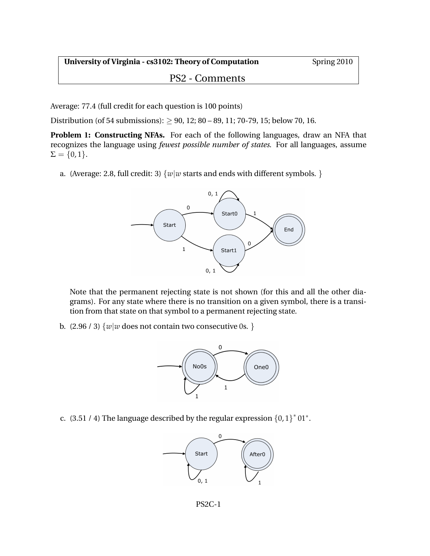**University of Virginia - cs3102: Theory of Computation** Spring 2010

## PS2 - Comments

Average: 77.4 (full credit for each question is 100 points)

Distribution (of 54 submissions):  $> 90$ , 12; 80 – 89, 11; 70-79, 15; below 70, 16.

**Problem 1: Constructing NFAs.** For each of the following languages, draw an NFA that recognizes the language using *fewest possible number of states*. For all languages, assume  $\Sigma = \{0, 1\}.$ 

a. (Average: 2.8, full credit: 3)  $\{w|w$  starts and ends with different symbols. }



Note that the permanent rejecting state is not shown (for this and all the other diagrams). For any state where there is no transition on a given symbol, there is a transition from that state on that symbol to a permanent rejecting state.

b.  $(2.96 / 3)$  {*w*|*w* does not contain two consecutive 0s. }



c. (3.51 / 4) The language described by the regular expression  ${0,1}^*01^*$ .



PS2C-1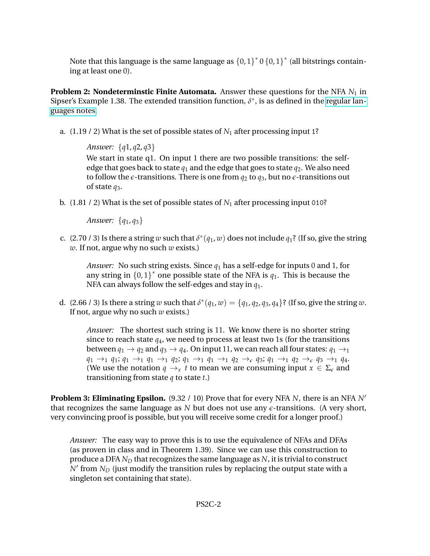Note that this language is the same language as  $\{0,1\}^*$  0  $\{0,1\}^*$  (all bitstrings containing at least one 0).

**Problem 2: Nondeterminstic Finite Automata.** Answer these questions for the NFA  $N_1$  in Sipser's Example 1.38. The extended transition function,  $\delta^*$ , is as defined in the [regular lan](http://www.cs.virginia.edu/evans/cs3102-s10/classes/class5/rl-notes.pdf)[guages notes.](http://www.cs.virginia.edu/evans/cs3102-s10/classes/class5/rl-notes.pdf)

a. (1.19 / 2) What is the set of possible states of *N*<sup>1</sup> after processing input 1?

*Answer:* {*q*1, *q*2, *q*3}

We start in state q1. On input 1 there are two possible transitions: the selfedge that goes back to state  $q_1$  and the edge that goes to state  $q_2$ . We also need to follow the  $\epsilon$ -transitions. There is one from  $q_2$  to  $q_3$ , but no  $\epsilon$ -transitions out of state *q*3.

b. (1.81 / 2) What is the set of possible states of *N*<sup>1</sup> after processing input 010?

*Answer:* {*q*1, *q*3}

c. (2.70 / 3) Is there a string  $w$  such that  $\delta^*(q_1, w)$  does not include  $q_1$ ? (If so, give the string *w*. If not, argue why no such *w* exists.)

*Answer:* No such string exists. Since *q*<sup>1</sup> has a self-edge for inputs 0 and 1, for any string in  ${0,1}^*$  one possible state of the NFA is  $q_1$ . This is because the NFA can always follow the self-edges and stay in *q*1.

d. (2.66 / 3) Is there a string *w* such that  $\delta^*(q_1, w) = \{q_1, q_2, q_3, q_4\}$ ? (If so, give the string *w*. If not, argue why no such *w* exists.)

*Answer:* The shortest such string is 11. We know there is no shorter string since to reach state *q*4, we need to process at least two 1s (for the transitions between  $q_1 \rightarrow q_2$  and  $q_3 \rightarrow q_4$ . On input 11, we can reach all four states:  $q_1 \rightarrow_1$  $q_1 \rightarrow_1 q_1$ ;  $q_1 \rightarrow_1 q_1 \rightarrow_1 q_2$ ;  $q_1 \rightarrow_1 q_1 \rightarrow_1 q_2 \rightarrow_e q_3$ ;  $q_1 \rightarrow_1 q_2 \rightarrow_e q_3 \rightarrow_1 q_4$ . (We use the notation  $q \rightarrow_x t$  to mean we are consuming input  $x \in \Sigma_{\epsilon}$  and transitioning from state *q* to state *t*.)

**Problem 3: Eliminating Epsilon.** (9.32 / 10) Prove that for every NFA *N*, there is an NFA *N*′ that recognizes the same language as  *but does not use any*  $\epsilon$ *-transitions. (A very short,* very convincing proof is possible, but you will receive some credit for a longer proof.)

*Answer:* The easy way to prove this is to use the equivalence of NFAs and DFAs (as proven in class and in Theorem 1.39). Since we can use this construction to produce a DFA *N<sup>D</sup>* that recognizes the same language as *N*, it is trivial to construct  $N^{\prime}$  from  $N_D$  (just modify the transition rules by replacing the output state with a singleton set containing that state).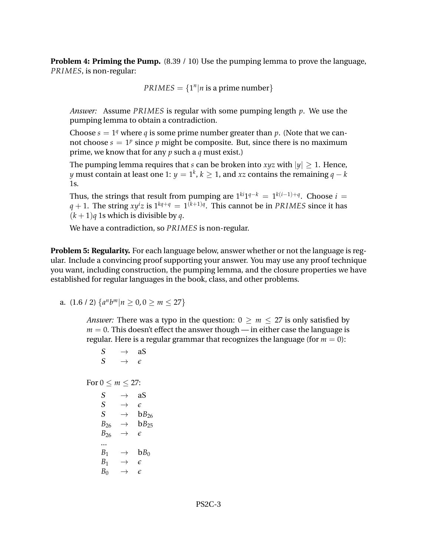**Problem 4: Priming the Pump.** (8.39 / 10) Use the pumping lemma to prove the language, *PRIMES*, is non-regular:

 $PRIMES = \{1^n | n \text{ is a prime number}\}$ 

*Answer:* Assume *PRIMES* is regular with some pumping length *p*. We use the pumping lemma to obtain a contradiction.

Choose  $s = 1<sup>q</sup>$  where *q* is some prime number greater than *p*. (Note that we cannot choose  $s = 1^p$  since  $p$  might be composite. But, since there is no maximum prime, we know that for any *p* such a *q* must exist.)

The pumping lemma requires that *s* can be broken into *xyz* with  $|y| \ge 1$ . Hence, *y* must contain at least one 1:  $y = 1^k$ ,  $k \geq 1$ , and  $xz$  contains the remaining  $q - k$ 1s.

Thus, the strings that result from pumping are  $1^{ki}1^{q-k} = 1^{k(i-1)+q}$ . Choose  $i =$ *q* + 1. The string  $xy^{i}z$  is  $1^{kq+q} = 1^{(k+1)q}$ . This cannot be in *PRIMES* since it has  $(k+1)q$  1s which is divisible by *q*.

We have a contradiction, so *PRIMES* is non-regular.

**Problem 5: Regularity.** For each language below, answer whether or not the language is regular. Include a convincing proof supporting your answer. You may use any proof technique you want, including construction, the pumping lemma, and the closure properties we have established for regular languages in the book, class, and other problems.

a.  $(1.6 / 2) \{a^n b^m | n \ge 0, 0 \ge m \le 27\}$ 

*Answer:* There was a typo in the question:  $0 \ge m \le 27$  is only satisfied by  $m = 0$ . This doesn't effect the answer though — in either case the language is regular. Here is a regular grammar that recognizes the language (for  $m = 0$ ):

$$
S \rightarrow aS
$$
\n
$$
S \rightarrow \epsilon
$$
\n
$$
For 0 \le m \le 27:
$$
\n
$$
S \rightarrow aS
$$
\n
$$
S \rightarrow \epsilon
$$
\n
$$
S \rightarrow \epsilon
$$
\n
$$
S \rightarrow bB_{26}
$$
\n
$$
B_{26} \rightarrow bB_{25}
$$
\n
$$
B_{26} \rightarrow \epsilon
$$
\n
$$
B_{1} \rightarrow bB_{0}
$$
\n
$$
B_{1} \rightarrow \epsilon
$$
\n
$$
B_{0} \rightarrow \epsilon
$$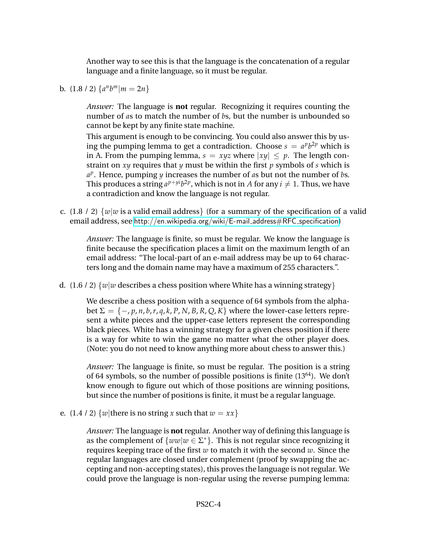Another way to see this is that the language is the concatenation of a regular language and a finite language, so it must be regular.

**b.**  $(1.8 / 2) \{a^n b^m | m = 2n\}$ 

*Answer:* The language is **not** regular. Recognizing it requires counting the number of *a*s to match the number of *b*s, but the number is unbounded so cannot be kept by any finite state machine.

This argument is enough to be convincing. You could also answer this by using the pumping lemma to get a contradiction. Choose  $s = a^p b^{2p}$  which is in A. From the pumping lemma,  $s = xyz$  where  $|xy| \leq p$ . The length constraint on *xy* requires that *y* must be within the first *p* symbols of *s* which is *a p* . Hence, pumping *y* increases the number of *a*s but not the number of *b*s. This produces a string  $a^{p+yi}b^{2p}$ , which is not in *A* for any  $i \neq 1$ . Thus, we have a contradiction and know the language is not regular.

c. (1.8 / 2) {*w*∣*w* is a valid email address} (for a summary of the specification of a valid email address, see [http://en.wikipedia.org/wiki/E-mail](http://en.wikipedia.org/wiki/E-mail_address#RFC_specification)\_address#RFC\_specification)

*Answer:* The language is finite, so must be regular. We know the language is finite because the specification places a limit on the maximum length of an email address: "The local-part of an e-mail address may be up to 64 characters long and the domain name may have a maximum of 255 characters.".

d. (1.6 / 2) {*w*∣*w* describes a chess position where White has a winning strategy}

We describe a chess position with a sequence of 64 symbols from the alphabet  $\Sigma = \{-p, p, n, b, r, q, k, P, N, B, R, Q, K\}$  where the lower-case letters represent a white pieces and the upper-case letters represent the corresponding black pieces. White has a winning strategy for a given chess position if there is a way for white to win the game no matter what the other player does. (Note: you do not need to know anything more about chess to answer this.)

*Answer:* The language is finite, so must be regular. The position is a string of 64 symbols, so the number of possible positions is finite  $(13^{64})$ . We don't know enough to figure out which of those positions are winning positions, but since the number of positions is finite, it must be a regular language.

e. (1.4 / 2)  $\{w |$  there is no string *x* such that  $w = xx\}$ 

*Answer:* The language is **not** regular. Another way of defining this language is as the complement of  $\{ww|w \in \Sigma^*\}$ . This is not regular since recognizing it requires keeping trace of the first *w* to match it with the second *w*. Since the regular languages are closed under complement (proof by swapping the accepting and non-accepting states), this proves the language is not regular. We could prove the language is non-regular using the reverse pumping lemma: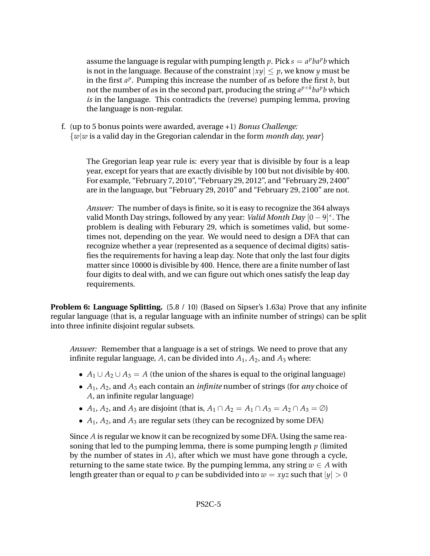assume the language is regular with pumping length  $p$ . Pick  $s = a^pba^p$  which is not in the language. Because of the constraint ∣*xy*∣ ≤ *p*, we know *y* must be in the first  $a^p$ . Pumping this increase the number of  $a$ s before the first  $b$ , but not the number of *a*s in the second part, producing the string  $a^{p+k}ba^pb$  which *is* in the language. This contradicts the (reverse) pumping lemma, proving the language is non-regular.

f. (up to 5 bonus points were awarded, average +1) *Bonus Challenge:* {*w*∣*w* is a valid day in the Gregorian calendar in the form *month day, year*}

The Gregorian leap year rule is: every year that is divisible by four is a leap year, except for years that are exactly divisible by 100 but not divisible by 400. For example, "February 7, 2010", "February 29, 2012", and "February 29, 2400" are in the language, but "February 29, 2010" and "February 29, 2100" are not.

*Answer:* The number of days is finite, so it is easy to recognize the 364 always valid Month Day strings, followed by any year: *Valid Month Day* [0 − 9] ∗ . The problem is dealing with Feburary 29, which is sometimes valid, but sometimes not, depending on the year. We would need to design a DFA that can recognize whether a year (represented as a sequence of decimal digits) satisfies the requirements for having a leap day. Note that only the last four digits matter since 10000 is divisible by 400. Hence, there are a finite number of last four digits to deal with, and we can figure out which ones satisfy the leap day requirements.

**Problem 6: Language Splitting.**  $(5.8 / 10)$  (Based on Sipser's 1.63a) Prove that any infinite regular language (that is, a regular language with an infinite number of strings) can be split into three infinite disjoint regular subsets.

*Answer:* Remember that a language is a set of strings. We need to prove that any infinite regular language,  $A$ , can be divided into  $A_1$ ,  $A_2$ , and  $A_3$  where:

- $A_1 \cup A_2 \cup A_3 = A$  (the union of the shares is equal to the original language)
- ∙ *A*1, *A*2, and *A*<sup>3</sup> each contain an *infinite* number of strings (for *any* choice of *A*, an infinite regular language)
- *A*<sub>1</sub>, *A*<sub>2</sub>, and *A*<sub>3</sub> are disjoint (that is, *A*<sub>1</sub> ∩ *A*<sub>2</sub> = *A*<sub>1</sub> ∩ *A*<sub>3</sub> = *A*<sub>2</sub> ∩ *A*<sub>3</sub> = ∅)
- ∙ *A*1, *A*2, and *A*<sup>3</sup> are regular sets (they can be recognized by some DFA)

Since *A* is regular we know it can be recognized by some DFA. Using the same reasoning that led to the pumping lemma, there is some pumping length *p* (limited by the number of states in *A*), after which we must have gone through a cycle, returning to the same state twice. By the pumping lemma, any string  $w \in A$  with length greater than or equal to *p* can be subdivided into  $w = xyz$  such that  $|y| > 0$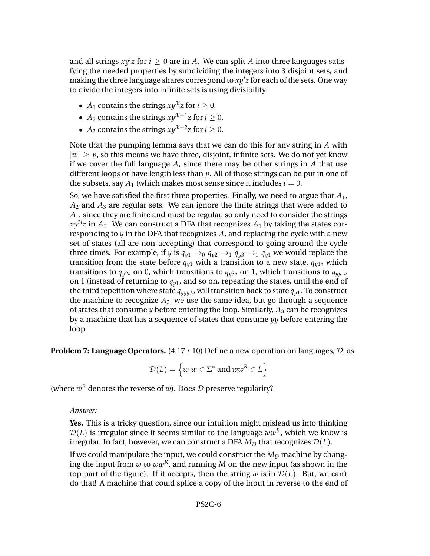and all strings  $xy^i z$  for  $i \geq 0$  are in A. We can split A into three languages satisfying the needed properties by subdividing the integers into 3 disjoint sets, and making the three language shares correspond to *xy<sup>i</sup> z* for each of the sets. One way to divide the integers into infinite sets is using divisibility:

- *A*<sub>1</sub> contains the strings  $xy^{3i}z$  for  $i \ge 0$ .
- $A_2$  contains the strings  $xy^{3i+1}z$  for  $i \geq 0$ .
- *A*<sub>3</sub> contains the strings  $xy^{3i+2}z$  for  $i \ge 0$ .

Note that the pumping lemma says that we can do this for any string in *A* with  $|w| > p$ , so this means we have three, disjoint, infinite sets. We do not yet know if we cover the full language *A*, since there may be other strings in *A* that use different loops or have length less than *p*. All of those strings can be put in one of the subsets, say  $A_1$  (which makes most sense since it includes  $i = 0$ .

So, we have satisfied the first three properties. Finally, we need to argue that *A*1,  $A_2$  and  $A_3$  are regular sets. We can ignore the finite strings that were added to *A*1, since they are finite and must be regular, so only need to consider the strings  $xy^{3i}z$  in  $A_1$ . We can construct a DFA that recognizes  $A_1$  by taking the states corresponding to  $y$  in the DFA that recognizes  $A$ , and replacing the cycle with a new set of states (all are non-accepting) that correspond to going around the cycle three times. For example, if *y* is  $q_{v1} \rightarrow_0 q_{v2} \rightarrow_1 q_{v3} \rightarrow_1 q_{v1}$  we would replace the transition from the state before  $q_{v1}$  with a transition to a new state,  $q_{v1a}$  which transitions to  $q_{\nu2a}$  on 0, which transitions to  $q_{\nu3a}$  on 1, which transitions to  $q_{\nu\nu1a}$ on 1 (instead of returning to  $q_{v1}$ , and so on, repeating the states, until the end of the third repetition where state  $q_{\nu\mu\nu3a}$  will transition back to state  $q_{\nu1}$ . To construct the machine to recognize  $A_2$ , we use the same idea, but go through a sequence of states that consume  $\gamma$  before entering the loop. Similarly,  $A_3$  can be recognizes by a machine that has a sequence of states that consume *yy* before entering the loop.

**Problem 7: Language Operators.** (4.17 / 10) Define a new operation on languages, D, as:

$$
\mathcal{D}(L) = \left\{ w | w \in \Sigma^* \text{ and } w w^R \in L \right\}
$$

(where  $w^R$  denotes the reverse of  $w$ ). Does  $D$  preserve regularity?

*Answer:*

**Yes.** This is a tricky question, since our intuition might mislead us into thinking  $\mathcal{D}(L)$  is irregular since it seems similar to the language  $ww^R$ , which we know is irregular. In fact, however, we can construct a DFA  $M_D$  that recognizes  $\mathcal{D}(L)$ .

If we could manipulate the input, we could construct the  $M_D$  machine by changing the input from  $w$  to  $ww^R$ , and running  $M$  on the new input (as shown in the top part of the figure). If it accepts, then the string  $w$  is in  $\mathcal{D}(L)$ . But, we can't do that! A machine that could splice a copy of the input in reverse to the end of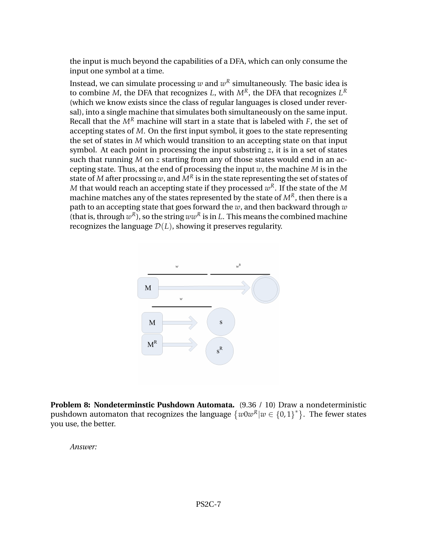the input is much beyond the capabilities of a DFA, which can only consume the input one symbol at a time.

Instead, we can simulate processing  $w$  and  $w^R$  simultaneously. The basic idea is to combine *M*, the DFA that recognizes *L*, with *MR*, the DFA that recognizes *L R* (which we know exists since the class of regular languages is closed under reversal), into a single machine that simulates both simultaneously on the same input. Recall that the  $M<sup>R</sup>$  machine will start in a state that is labeled with *F*, the set of accepting states of *M*. On the first input symbol, it goes to the state representing the set of states in *M* which would transition to an accepting state on that input symbol. At each point in processing the input substring *z*, it is in a set of states such that running *M* on *z* starting from any of those states would end in an accepting state. Thus, at the end of processing the input *w*, the machine *M* is in the state of *M* after procssing *w*, and  $M<sup>R</sup>$  is in the state representing the set of states of  $M$  that would reach an accepting state if they processed  $w^R.$  If the state of the  $M$ machine matches any of the states represented by the state of  $M<sup>R</sup>$ , then there is a path to an accepting state that goes forward the *w*, and then backward through *w* (that is, through  $w^R$ ), so the string  $ww^R$  is in *L*. This means the combined machine recognizes the language  $\mathcal{D}(L)$ , showing it preserves regularity.



**Problem 8: Nondeterminstic Pushdown Automata.** (9.36 / 10) Draw a nondeterministic pushdown automaton that recognizes the language  $\{w0w^R|w\in\{0,1\}^*\}$ . The fewer states you use, the better.

*Answer:*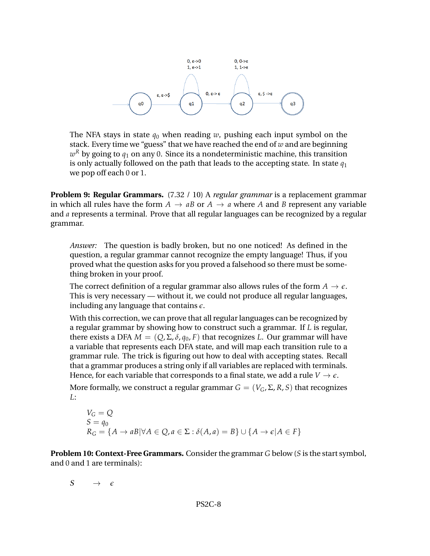

The NFA stays in state  $q_0$  when reading *w*, pushing each input symbol on the stack. Every time we "guess" that we have reached the end of *w* and are beginning  $w^R$  by going to  $q_1$  on any 0. Since its a nondeterministic machine, this transition is only actually followed on the path that leads to the accepting state. In state  $q_1$ we pop off each 0 or 1.

**Problem 9: Regular Grammars.** (7.32 / 10) A *regular grammar* is a replacement grammar in which all rules have the form  $A \rightarrow aB$  or  $A \rightarrow a$  where A and B represent any variable and *a* represents a terminal. Prove that all regular languages can be recognized by a regular grammar.

*Answer:* The question is badly broken, but no one noticed! As defined in the question, a regular grammar cannot recognize the empty language! Thus, if you proved what the question asks for you proved a falsehood so there must be something broken in your proof.

The correct definition of a regular grammar also allows rules of the form  $A \to \epsilon$ . This is very necessary — without it, we could not produce all regular languages, including any language that contains *e*.

With this correction, we can prove that all regular languages can be recognized by a regular grammar by showing how to construct such a grammar. If *L* is regular, there exists a DFA  $M = (Q, \Sigma, \delta, q_0, F)$  that recognizes *L*. Our grammar will have a variable that represents each DFA state, and will map each transition rule to a grammar rule. The trick is figuring out how to deal with accepting states. Recall that a grammar produces a string only if all variables are replaced with terminals. Hence, for each variable that corresponds to a final state, we add a rule  $V \rightarrow \epsilon$ .

More formally, we construct a regular grammar  $G = (V_G, \Sigma, R, S)$  that recognizes *L*:

$$
V_G = Q
$$
  
\n
$$
S = q_0
$$
  
\n
$$
R_G = \{A \to aB | \forall A \in Q, a \in \Sigma : \delta(A, a) = B\} \cup \{A \to \epsilon | A \in F\}
$$

**Problem 10: Context-Free Grammars.** Consider the grammar *G* below (*S* is the start symbol, and 0 and 1 are terminals):

$$
S \qquad \rightarrow \quad \epsilon
$$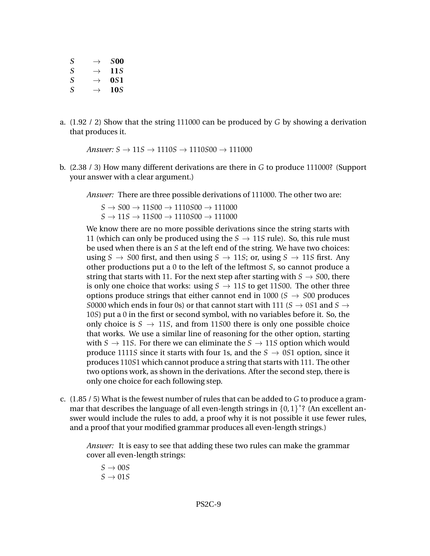| .SOO | $\rightarrow$ | S |
|------|---------------|---|
| 115  | $\rightarrow$ | S |
| 051  | $\rightarrow$ | S |
| 105  | $\rightarrow$ | S |

a. (1.92 / 2) Show that the string 111000 can be produced by *G* by showing a derivation that produces it.

*Answer:*  $S \rightarrow 11S \rightarrow 1110S \rightarrow 1110500 \rightarrow 111000$ 

b. (2.38 / 3) How many different derivations are there in *G* to produce 111000? (Support your answer with a clear argument.)

*Answer:* There are three possible derivations of 111000. The other two are:

 $S \rightarrow SOO \rightarrow 11SOO \rightarrow 1110SOO \rightarrow 11100O$  $S \rightarrow 11S \rightarrow 11500 \rightarrow 1110500 \rightarrow 111000$ 

We know there are no more possible derivations since the string starts with 11 (which can only be produced using the  $S \rightarrow 11S$  rule). So, this rule must be used when there is an *S* at the left end of the string. We have two choices: using *S*  $\rightarrow$  *S*00 first, and then using *S*  $\rightarrow$  11*S*; or, using *S*  $\rightarrow$  11*S* first. Any other productions put a 0 to the left of the leftmost *S*, so cannot produce a string that starts with 11. For the next step after starting with  $S \rightarrow S00$ , there is only one choice that works: using  $S \rightarrow 11S$  to get 11500. The other three options produce strings that either cannot end in 1000 ( $S \rightarrow$  *S*00 produces *S*0000 which ends in four 0s) or that cannot start with 111 ( $S \rightarrow 0S1$  and  $S \rightarrow$ 10*S*) put a 0 in the first or second symbol, with no variables before it. So, the only choice is  $S \rightarrow 11S$ , and from 11500 there is only one possible choice that works. We use a similar line of reasoning for the other option, starting with  $S \rightarrow 11S$ . For there we can eliminate the  $S \rightarrow 11S$  option which would produce 1111*S* since it starts with four 1s, and the  $S \rightarrow 0.051$  option, since it produces 110*S*1 which cannot produce a string that starts with 111. The other two options work, as shown in the derivations. After the second step, there is only one choice for each following step.

c. (1.85 / 5) What is the fewest number of rules that can be added to *G* to produce a grammar that describes the language of all even-length strings in  ${0,1}^*$ ? (An excellent answer would include the rules to add, a proof why it is not possible it use fewer rules, and a proof that your modified grammar produces all even-length strings.)

*Answer:* It is easy to see that adding these two rules can make the grammar cover all even-length strings:

 $S \rightarrow 00S$  $S \rightarrow 01S$